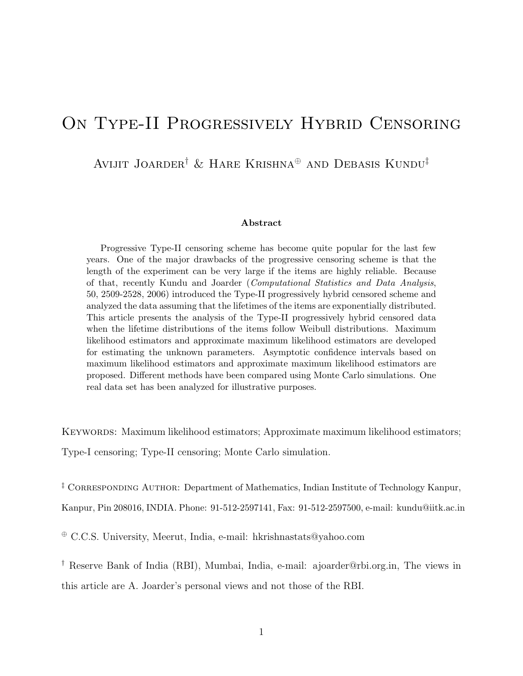# ON TYPE-II PROGRESSIVELY HYBRID CENSORING

Avijit Joarder† & Hare Krishna<sup>⊕</sup> and Debasis Kundu‡

#### Abstract

Progressive Type-II censoring scheme has become quite popular for the last few years. One of the major drawbacks of the progressive censoring scheme is that the length of the experiment can be very large if the items are highly reliable. Because of that, recently Kundu and Joarder (Computational Statistics and Data Analysis, 50, 2509-2528, 2006) introduced the Type-II progressively hybrid censored scheme and analyzed the data assuming that the lifetimes of the items are exponentially distributed. This article presents the analysis of the Type-II progressively hybrid censored data when the lifetime distributions of the items follow Weibull distributions. Maximum likelihood estimators and approximate maximum likelihood estimators are developed for estimating the unknown parameters. Asymptotic confidence intervals based on maximum likelihood estimators and approximate maximum likelihood estimators are proposed. Different methods have been compared using Monte Carlo simulations. One real data set has been analyzed for illustrative purposes.

KEYWORDS: Maximum likelihood estimators; Approximate maximum likelihood estimators; Type-I censoring; Type-II censoring; Monte Carlo simulation.

<sup> $\ddagger$ </sup> CORRESPONDING AUTHOR: Department of Mathematics, Indian Institute of Technology Kanpur,

Kanpur, Pin 208016, INDIA. Phone: 91-512-2597141, Fax: 91-512-2597500, e-mail: kundu@iitk.ac.in

<sup>⊕</sup> C.C.S. University, Meerut, India, e-mail: hkrishnastats@yahoo.com

† Reserve Bank of India (RBI), Mumbai, India, e-mail: ajoarder@rbi.org.in, The views in this article are A. Joarder's personal views and not those of the RBI.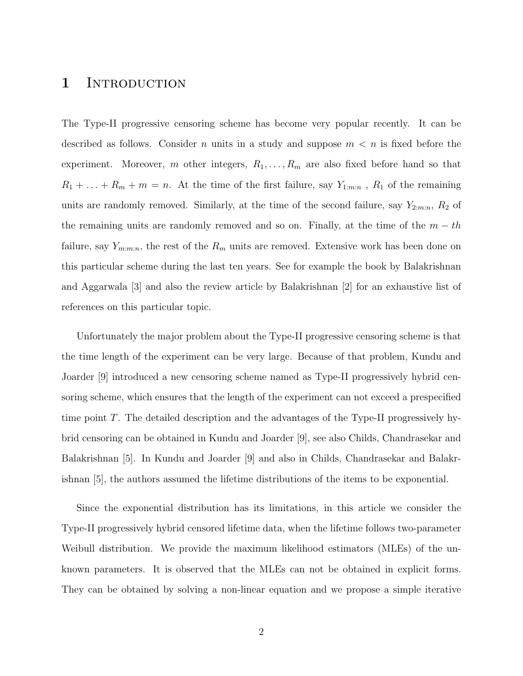#### 1 INTRODUCTION

The Type-II progressive censoring scheme has become very popular recently. It can be described as follows. Consider *n* units in a study and suppose  $m < n$  is fixed before the experiment. Moreover, m other integers,  $R_1, \ldots, R_m$  are also fixed before hand so that  $R_1 + \ldots + R_m + m = n$ . At the time of the first failure, say  $Y_{1:m:n}$ ,  $R_1$  of the remaining units are randomly removed. Similarly, at the time of the second failure, say  $Y_{2:m:n}$ ,  $R_2$  of the remaining units are randomly removed and so on. Finally, at the time of the  $m - th$ failure, say  $Y_{m:m:n}$ , the rest of the  $R_m$  units are removed. Extensive work has been done on this particular scheme during the last ten years. See for example the book by Balakrishnan and Aggarwala [3] and also the review article by Balakrishnan [2] for an exhaustive list of references on this particular topic.

Unfortunately the major problem about the Type-II progressive censoring scheme is that the time length of the experiment can be very large. Because of that problem, Kundu and Joarder [9] introduced a new censoring scheme named as Type-II progressively hybrid censoring scheme, which ensures that the length of the experiment can not exceed a prespecified time point T. The detailed description and the advantages of the Type-II progressively hybrid censoring can be obtained in Kundu and Joarder [9], see also Childs, Chandrasekar and Balakrishnan [5]. In Kundu and Joarder [9] and also in Childs, Chandrasekar and Balakrishnan [5], the authors assumed the lifetime distributions of the items to be exponential.

Since the exponential distribution has its limitations, in this article we consider the Type-II progressively hybrid censored lifetime data, when the lifetime follows two-parameter Weibull distribution. We provide the maximum likelihood estimators (MLEs) of the unknown parameters. It is observed that the MLEs can not be obtained in explicit forms. They can be obtained by solving a non-linear equation and we propose a simple iterative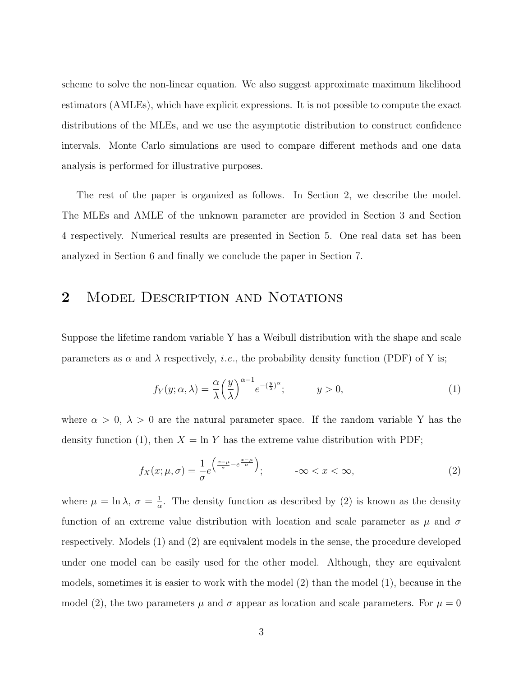scheme to solve the non-linear equation. We also suggest approximate maximum likelihood estimators (AMLEs), which have explicit expressions. It is not possible to compute the exact distributions of the MLEs, and we use the asymptotic distribution to construct confidence intervals. Monte Carlo simulations are used to compare different methods and one data analysis is performed for illustrative purposes.

The rest of the paper is organized as follows. In Section 2, we describe the model. The MLEs and AMLE of the unknown parameter are provided in Section 3 and Section 4 respectively. Numerical results are presented in Section 5. One real data set has been analyzed in Section 6 and finally we conclude the paper in Section 7.

# 2 MODEL DESCRIPTION AND NOTATIONS

Suppose the lifetime random variable Y has a Weibull distribution with the shape and scale parameters as  $\alpha$  and  $\lambda$  respectively, *i.e.*, the probability density function (PDF) of Y is;

$$
f_Y(y; \alpha, \lambda) = \frac{\alpha}{\lambda} \left(\frac{y}{\lambda}\right)^{\alpha - 1} e^{-\left(\frac{y}{\lambda}\right)^{\alpha}}; \qquad y > 0,
$$
 (1)

where  $\alpha > 0$ ,  $\lambda > 0$  are the natural parameter space. If the random variable Y has the density function (1), then  $X = \ln Y$  has the extreme value distribution with PDF;

$$
f_X(x; \mu, \sigma) = \frac{1}{\sigma} e^{\left(\frac{x-\mu}{\sigma} - e^{\frac{x-\mu}{\sigma}}\right)}; \qquad -\infty < x < \infty,\tag{2}
$$

where  $\mu = \ln \lambda$ ,  $\sigma = \frac{1}{\alpha}$  $\frac{1}{\alpha}$ . The density function as described by (2) is known as the density function of an extreme value distribution with location and scale parameter as  $\mu$  and  $\sigma$ respectively. Models (1) and (2) are equivalent models in the sense, the procedure developed under one model can be easily used for the other model. Although, they are equivalent models, sometimes it is easier to work with the model (2) than the model (1), because in the model (2), the two parameters  $\mu$  and  $\sigma$  appear as location and scale parameters. For  $\mu = 0$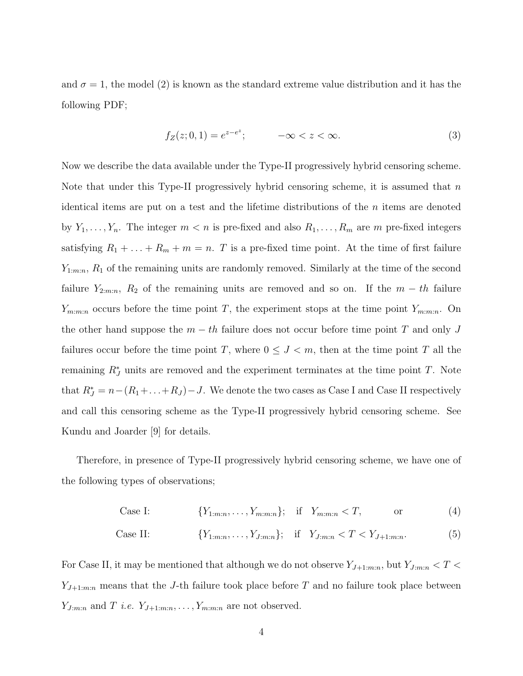and  $\sigma = 1$ , the model (2) is known as the standard extreme value distribution and it has the following PDF;

$$
f_Z(z; 0, 1) = e^{z - e^z}; \qquad -\infty < z < \infty.
$$
 (3)

Now we describe the data available under the Type-II progressively hybrid censoring scheme. Note that under this Type-II progressively hybrid censoring scheme, it is assumed that  $n$ identical items are put on a test and the lifetime distributions of the  $n$  items are denoted by  $Y_1, \ldots, Y_n$ . The integer  $m < n$  is pre-fixed and also  $R_1, \ldots, R_m$  are m pre-fixed integers satisfying  $R_1 + \ldots + R_m + m = n$ . T is a pre-fixed time point. At the time of first failure  $Y_{1:m:n}$ ,  $R_1$  of the remaining units are randomly removed. Similarly at the time of the second failure  $Y_{2:m:n}$ ,  $R_2$  of the remaining units are removed and so on. If the  $m-th$  failure  $Y_{m:m:n}$  occurs before the time point T, the experiment stops at the time point  $Y_{m:m:n}$ . On the other hand suppose the  $m - th$  failure does not occur before time point T and only J failures occur before the time point T, where  $0 \leq J \leq m$ , then at the time point T all the remaining  $R_J^*$  units are removed and the experiment terminates at the time point T. Note that  $R_J^* = n - (R_1 + ... + R_J) - J$ . We denote the two cases as Case I and Case II respectively and call this censoring scheme as the Type-II progressively hybrid censoring scheme. See Kundu and Joarder [9] for details.

Therefore, in presence of Type-II progressively hybrid censoring scheme, we have one of the following types of observations;

Case I: 
$$
\{Y_{1:m:n}, \ldots, Y_{m:m:n}\}; \quad \text{if} \quad Y_{m:m:n} < T, \quad \text{or} \quad (4)
$$

Case II: 
$$
\{Y_{1:m:n}, \ldots, Y_{J:m:n}\};
$$
 if  $Y_{J:m:n} < T < Y_{J+1:m:n}.$  (5)

For Case II, it may be mentioned that although we do not observe  $Y_{J+1:m:n}$ , but  $Y_{J:m:n} < T <$  $Y_{J+1:m:n}$  means that the J-th failure took place before T and no failure took place between  $Y_{J:m:n}$  and T *i.e.*  $Y_{J+1:m:n}, \ldots, Y_{m:m:n}$  are not observed.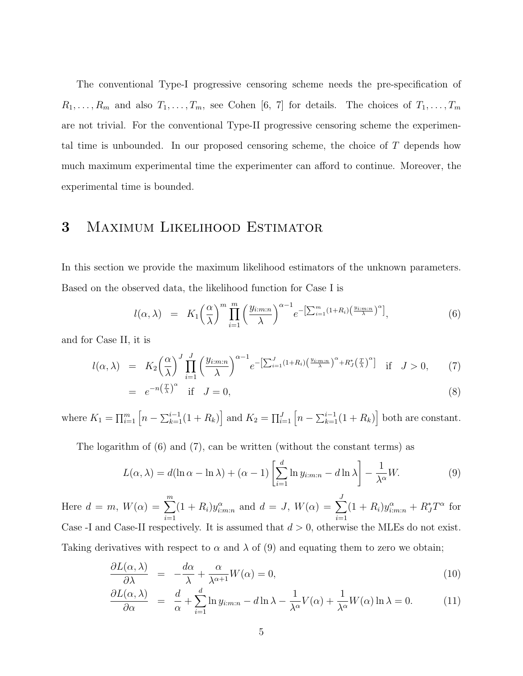The conventional Type-I progressive censoring scheme needs the pre-specification of  $R_1, \ldots, R_m$  and also  $T_1, \ldots, T_m$ , see Cohen [6, 7] for details. The choices of  $T_1, \ldots, T_m$ are not trivial. For the conventional Type-II progressive censoring scheme the experimental time is unbounded. In our proposed censoring scheme, the choice of T depends how much maximum experimental time the experimenter can afford to continue. Moreover, the experimental time is bounded.

### 3 Maximum Likelihood Estimator

In this section we provide the maximum likelihood estimators of the unknown parameters. Based on the observed data, the likelihood function for Case I is

$$
l(\alpha,\lambda) = K_1 \left(\frac{\alpha}{\lambda}\right)^m \prod_{i=1}^m \left(\frac{y_{i:m:n}}{\lambda}\right)^{\alpha-1} e^{-\left[\sum_{i=1}^m (1+R_i)\left(\frac{y_{i:m:n}}{\lambda}\right)^\alpha\right]},
$$
(6)

and for Case II, it is

$$
l(\alpha,\lambda) = K_2 \left(\frac{\alpha}{\lambda}\right)^J \prod_{i=1}^J \left(\frac{y_{i:m:n}}{\lambda}\right)^{\alpha-1} e^{-\left[\sum_{i=1}^J (1+R_i) \left(\frac{y_{i:m:n}}{\lambda}\right)^\alpha + R_J^*(\frac{T}{\lambda})^\alpha\right]} \quad \text{if} \quad J > 0,\tag{7}
$$

$$
= e^{-n\left(\frac{T}{\lambda}\right)^{\alpha}} \quad \text{if} \quad J = 0,\tag{8}
$$

where  $K_1 = \prod_{i=1}^m \left[ n - \sum_{k=1}^{i-1} (1 + R_k) \right]$  and  $K_2 = \prod_{i=1}^J \left[ n - \sum_{k=1}^{i-1} (1 + R_k) \right]$  both are constant.

The logarithm of (6) and (7), can be written (without the constant terms) as

$$
L(\alpha, \lambda) = d(\ln \alpha - \ln \lambda) + (\alpha - 1) \left[ \sum_{i=1}^{d} \ln y_{i:m:n} - d \ln \lambda \right] - \frac{1}{\lambda^{\alpha}} W.
$$
 (9)

Here  $d = m$ ,  $W(\alpha) = \sum_{m=1}^{m}$  $i=1$  $(1 + R_i)y_{i:m:n}^{\alpha}$  and  $d = J, W(\alpha) = \sum$ J  $i=1$  $(1 + R_i)y_{i:m:n}^{\alpha} + R_J^*T^{\alpha}$  for Case -I and Case-II respectively. It is assumed that  $d > 0$ , otherwise the MLEs do not exist. Taking derivatives with respect to  $\alpha$  and  $\lambda$  of (9) and equating them to zero we obtain;

$$
\frac{\partial L(\alpha,\lambda)}{\partial \lambda} = -\frac{d\alpha}{\lambda} + \frac{\alpha}{\lambda^{\alpha+1}} W(\alpha) = 0, \tag{10}
$$

$$
\frac{\partial L(\alpha,\lambda)}{\partial \alpha} = \frac{d}{\alpha} + \sum_{i=1}^{d} \ln y_{i:m:n} - d \ln \lambda - \frac{1}{\lambda^{\alpha}} V(\alpha) + \frac{1}{\lambda^{\alpha}} W(\alpha) \ln \lambda = 0.
$$
 (11)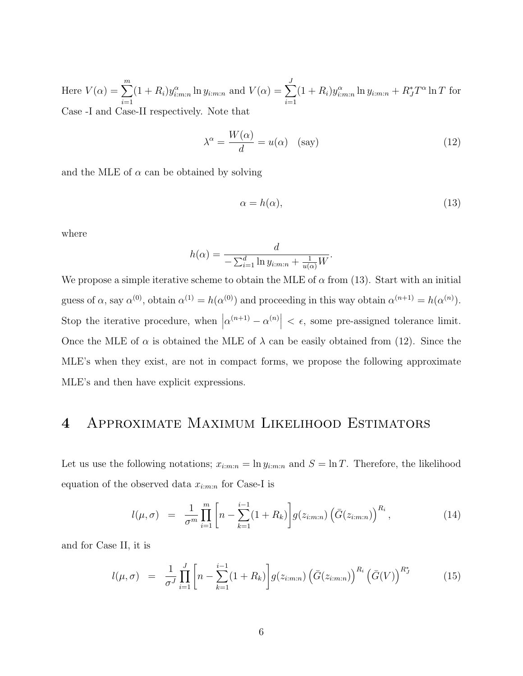Here  $V(\alpha) = \sum_{m=1}^{m}$  $i=1$  $(1 + R_i)y_{i:m:n}^{\alpha} \ln y_{i:m:n}$  and  $V(\alpha) = \sum$ J  $i=1$  $(1 + R_i)y_{i:m:n}^{\alpha} \ln y_{i:m:n} + R_J^*T^{\alpha} \ln T$  for Case -I and Case-II respectively. Note that

$$
\lambda^{\alpha} = \frac{W(\alpha)}{d} = u(\alpha) \quad \text{(say)}
$$
 (12)

and the MLE of  $\alpha$  can be obtained by solving

$$
\alpha = h(\alpha),\tag{13}
$$

where

$$
h(\alpha) = \frac{d}{-\sum_{i=1}^d \ln y_{i:m:n} + \frac{1}{u(\alpha)}W}.
$$

We propose a simple iterative scheme to obtain the MLE of  $\alpha$  from (13). Start with an initial guess of  $\alpha$ , say  $\alpha^{(0)}$ , obtain  $\alpha^{(1)} = h(\alpha^{(0)})$  and proceeding in this way obtain  $\alpha^{(n+1)} = h(\alpha^{(n)})$ . Stop the iterative procedure, when  $|\alpha^{(n+1)} - \alpha^{(n)}| < \epsilon$ , some pre-assigned tolerance limit. Once the MLE of  $\alpha$  is obtained the MLE of  $\lambda$  can be easily obtained from (12). Since the MLE's when they exist, are not in compact forms, we propose the following approximate MLE's and then have explicit expressions.

#### 4 Approximate Maximum Likelihood Estimators

Let us use the following notations;  $x_{i:m:n} = \ln y_{i:m:n}$  and  $S = \ln T$ . Therefore, the likelihood equation of the observed data  $x_{i:m:n}$  for Case-I is

$$
l(\mu, \sigma) = \frac{1}{\sigma^m} \prod_{i=1}^m \left[ n - \sum_{k=1}^{i-1} (1 + R_k) \right] g(z_{i:m:n}) \left( \bar{G}(z_{i:m:n}) \right)^{R_i}, \tag{14}
$$

and for Case II, it is

$$
l(\mu, \sigma) = \frac{1}{\sigma^J} \prod_{i=1}^J \left[ n - \sum_{k=1}^{i-1} (1 + R_k) \right] g(z_{i:m:n}) \left( \bar{G}(z_{i:m:n}) \right)^{R_i} \left( \bar{G}(V) \right)^{R_J^*} \tag{15}
$$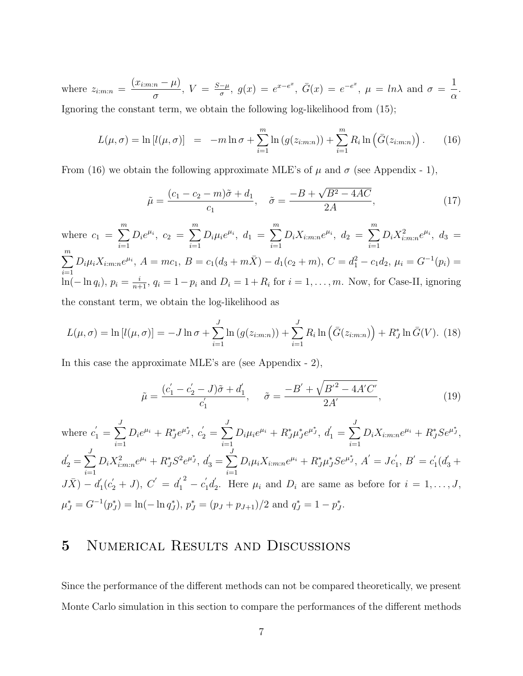where  $z_{i:m:n}$  =  $(x_{i:m:n} - \mu)$ σ ,  $V = \frac{S-\mu}{\sigma}$  $\frac{-\mu}{\sigma}$ ,  $g(x) = e^{x-e^x}$ ,  $\bar{G}(x) = e^{-e^x}$ ,  $\mu = \ln \lambda$  and  $\sigma =$ 1 α . Ignoring the constant term, we obtain the following log-likelihood from (15);

$$
L(\mu, \sigma) = \ln [l(\mu, \sigma)] = -m \ln \sigma + \sum_{i=1}^{m} \ln (g(z_{i:m:n})) + \sum_{i=1}^{m} R_i \ln (\bar{G}(z_{i:m:n}))
$$
 (16)

From (16) we obtain the following approximate MLE's of  $\mu$  and  $\sigma$  (see Appendix - 1),

$$
\tilde{\mu} = \frac{(c_1 - c_2 - m)\tilde{\sigma} + d_1}{c_1}, \quad \tilde{\sigma} = \frac{-B + \sqrt{B^2 - 4AC}}{2A},\tag{17}
$$

where  $c_1 = \sum_{ }^{m}$  $i=1$  $D_i e^{\mu_i}, c_2 = \sum^m$  $i=1$  $D_i\mu_i e^{\mu_i}, d_1 = \sum^m$  $i=1$  $D_i X_{i:m:n} e^{\mu_i},\; d_2\;=\; \sum^m$  $i=1$  $D_i X_{i:m:n}^2 e^{\mu_i}, d_3 =$  $\sum_{i=1}^{m}$  $i=1$  $D_i\mu_i X_{i:m:n}e^{\mu_i}, A = mc_1, B = c_1(d_3 + m\overline{X}) - d_1(c_2 + m), C = d_1^2 - c_1d_2, \mu_i = G^{-1}(p_i)$  $\ln(-\ln q_i)$ ,  $p_i = \frac{i}{n+1}$ ,  $q_i = 1 - p_i$  and  $D_i = 1 + R_i$  for  $i = 1, ..., m$ . Now, for Case-II, ignoring the constant term, we obtain the log-likelihood as

$$
L(\mu, \sigma) = \ln [l(\mu, \sigma)] = -J \ln \sigma + \sum_{i=1}^{J} \ln (g(z_{i:m:n})) + \sum_{i=1}^{J} R_i \ln (\bar{G}(z_{i:m:n})) + R_J^* \ln \bar{G}(V). \tag{18}
$$

In this case the approximate MLE's are (see Appendix - 2),

$$
\tilde{\mu} = \frac{(c_1' - c_2' - J)\tilde{\sigma} + d_1'}{c_1'}, \quad \tilde{\sigma} = \frac{-B' + \sqrt{B'^2 - 4A'C'}}{2A'},\tag{19}
$$

where 
$$
c'_1 = \sum_{i=1}^J D_i e^{\mu_i} + R_J^* e^{\mu_J^*}, c'_2 = \sum_{i=1}^J D_i \mu_i e^{\mu_i} + R_J^* \mu_J^* e^{\mu_J^*}, d'_1 = \sum_{i=1}^J D_i X_{i:m:n} e^{\mu_i} + R_J^* S e^{\mu_J^*},
$$
  
\n $d'_2 = \sum_{i=1}^J D_i X_{i:m:n}^2 e^{\mu_i} + R_J^* S^2 e^{\mu_J^*}, d'_3 = \sum_{i=1}^J D_i \mu_i X_{i:m:n} e^{\mu_i} + R_J^* \mu_J^* S e^{\mu_J^*}, A' = Jc'_1, B' = c'_1 (d'_3 + J\bar{X}) - d'_1 (c'_2 + J), C' = d'_1{}^2 - c'_1 d'_2.$  Here  $\mu_i$  and  $D_i$  are same as before for  $i = 1, ..., J$ ,  
\n $\mu_J^* = G^{-1}(p_J^*) = \ln(-\ln q_J^*), p_J^* = (p_J + p_{J+1})/2$  and  $q_J^* = 1 - p_J^*.$ 

### 5 Numerical Results and Discussions

Since the performance of the different methods can not be compared theoretically, we present Monte Carlo simulation in this section to compare the performances of the different methods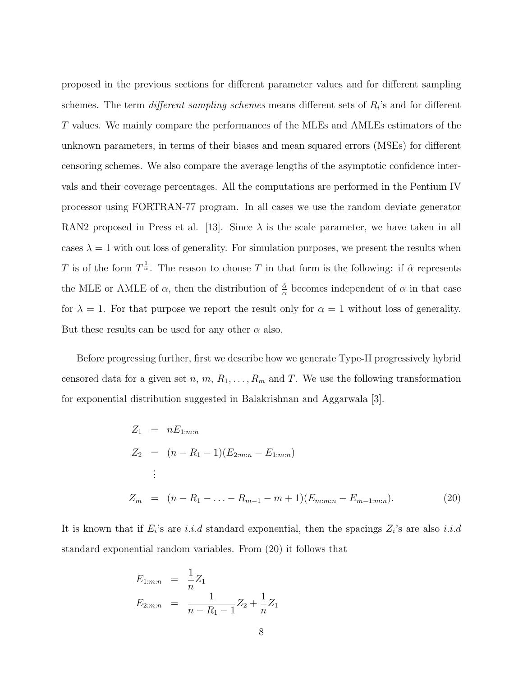proposed in the previous sections for different parameter values and for different sampling schemes. The term *different sampling schemes* means different sets of  $R_i$ 's and for different T values. We mainly compare the performances of the MLEs and AMLEs estimators of the unknown parameters, in terms of their biases and mean squared errors (MSEs) for different censoring schemes. We also compare the average lengths of the asymptotic confidence intervals and their coverage percentages. All the computations are performed in the Pentium IV processor using FORTRAN-77 program. In all cases we use the random deviate generator RAN2 proposed in Press et al. [13]. Since  $\lambda$  is the scale parameter, we have taken in all cases  $\lambda = 1$  with out loss of generality. For simulation purposes, we present the results when T is of the form  $T^{\frac{1}{\alpha}}$ . The reason to choose T in that form is the following: if  $\hat{\alpha}$  represents the MLE or AMLE of  $\alpha$ , then the distribution of  $\frac{\hat{\alpha}}{\alpha}$  becomes independent of  $\alpha$  in that case for  $\lambda = 1$ . For that purpose we report the result only for  $\alpha = 1$  without loss of generality. But these results can be used for any other  $\alpha$  also.

Before progressing further, first we describe how we generate Type-II progressively hybrid censored data for a given set n, m,  $R_1, \ldots, R_m$  and T. We use the following transformation for exponential distribution suggested in Balakrishnan and Aggarwala [3].

$$
Z_1 = nE_{1:m:n}
$$
  
\n
$$
Z_2 = (n - R_1 - 1)(E_{2:m:n} - E_{1:m:n})
$$
  
\n
$$
\vdots
$$
  
\n
$$
Z_m = (n - R_1 - ... - R_{m-1} - m + 1)(E_{m:m:n} - E_{m-1:m:n}).
$$
\n(20)

It is known that if  $E_i$ 's are i.i.d standard exponential, then the spacings  $Z_i$ 's are also i.i.d standard exponential random variables. From (20) it follows that

$$
E_{1:m:n} = \frac{1}{n} Z_1
$$
  
\n
$$
E_{2:m:n} = \frac{1}{n - R_1 - 1} Z_2 + \frac{1}{n} Z_1
$$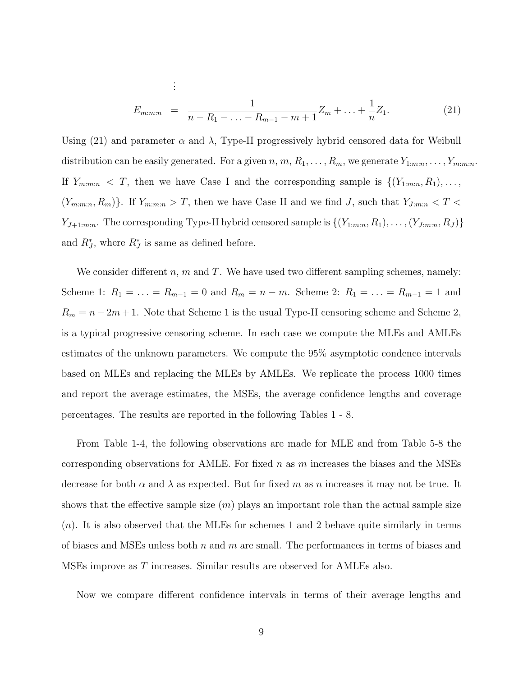$$
E_{m:m:n} = \frac{1}{n - R_1 - \ldots - R_{m-1} - m + 1} Z_m + \ldots + \frac{1}{n} Z_1.
$$
 (21)

Using (21) and parameter  $\alpha$  and  $\lambda$ , Type-II progressively hybrid censored data for Weibull distribution can be easily generated. For a given  $n, m, R_1, \ldots, R_m$ , we generate  $Y_{1:m:n}, \ldots, Y_{m:m:n}$ . If  $Y_{m:m:n} < T$ , then we have Case I and the corresponding sample is  $\{(Y_{1:m:n}, R_1), \ldots, Y_{m:m:n}\}$  $(Y_{m:m:n}, R_m)$ . If  $Y_{m:m:n} > T$ , then we have Case II and we find J, such that  $Y_{J:m:n} < T <$  $Y_{J+1:m:n}$ . The corresponding Type-II hybrid censored sample is  $\{(Y_{1:m:n}, R_1), \ldots, (Y_{J:m:n}, R_J)\}$ and  $R_J^*$ , where  $R_J^*$  is same as defined before.

We consider different n, m and T. We have used two different sampling schemes, namely: Scheme 1:  $R_1 = \ldots = R_{m-1} = 0$  and  $R_m = n - m$ . Scheme 2:  $R_1 = \ldots = R_{m-1} = 1$  and  $R_m = n - 2m + 1$ . Note that Scheme 1 is the usual Type-II censoring scheme and Scheme 2, is a typical progressive censoring scheme. In each case we compute the MLEs and AMLEs estimates of the unknown parameters. We compute the 95% asymptotic condence intervals based on MLEs and replacing the MLEs by AMLEs. We replicate the process 1000 times and report the average estimates, the MSEs, the average confidence lengths and coverage percentages. The results are reported in the following Tables 1 - 8.

From Table 1-4, the following observations are made for MLE and from Table 5-8 the corresponding observations for AMLE. For fixed  $n$  as  $m$  increases the biases and the MSEs decrease for both  $\alpha$  and  $\lambda$  as expected. But for fixed m as n increases it may not be true. It shows that the effective sample size  $(m)$  plays an important role than the actual sample size  $(n)$ . It is also observed that the MLEs for schemes 1 and 2 behave quite similarly in terms of biases and MSEs unless both  $n$  and  $m$  are small. The performances in terms of biases and MSEs improve as T increases. Similar results are observed for AMLEs also.

Now we compare different confidence intervals in terms of their average lengths and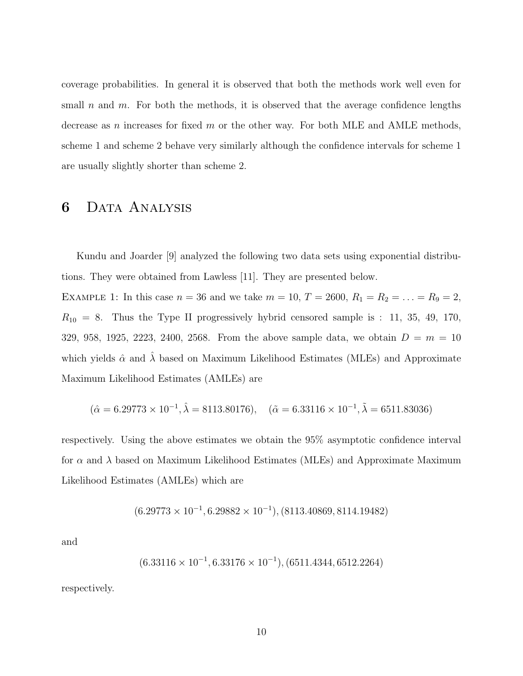coverage probabilities. In general it is observed that both the methods work well even for small n and m. For both the methods, it is observed that the average confidence lengths decrease as n increases for fixed  $m$  or the other way. For both MLE and AMLE methods, scheme 1 and scheme 2 behave very similarly although the confidence intervals for scheme 1 are usually slightly shorter than scheme 2.

#### 6 Data Analysis

Kundu and Joarder [9] analyzed the following two data sets using exponential distributions. They were obtained from Lawless [11]. They are presented below.

EXAMPLE 1: In this case  $n = 36$  and we take  $m = 10$ ,  $T = 2600$ ,  $R_1 = R_2 = \ldots = R_9 = 2$ ,  $R_{10} = 8$ . Thus the Type II progressively hybrid censored sample is : 11, 35, 49, 170, 329, 958, 1925, 2223, 2400, 2568. From the above sample data, we obtain  $D = m = 10$ which yields  $\hat{\alpha}$  and  $\lambda$  based on Maximum Likelihood Estimates (MLEs) and Approximate Maximum Likelihood Estimates (AMLEs) are

$$
(\hat{\alpha} = 6.29773 \times 10^{-1}, \hat{\lambda} = 8113.80176), \quad (\tilde{\alpha} = 6.33116 \times 10^{-1}, \tilde{\lambda} = 6511.83036)
$$

respectively. Using the above estimates we obtain the 95% asymptotic confidence interval for  $\alpha$  and  $\lambda$  based on Maximum Likelihood Estimates (MLEs) and Approximate Maximum Likelihood Estimates (AMLEs) which are

$$
(6.29773 \times 10^{-1}, 6.29882 \times 10^{-1}), (8113.40869, 8114.19482)
$$

and

$$
(6.33116 \times 10^{-1}, 6.33176 \times 10^{-1}), (6511.4344, 6512.2264)
$$

respectively.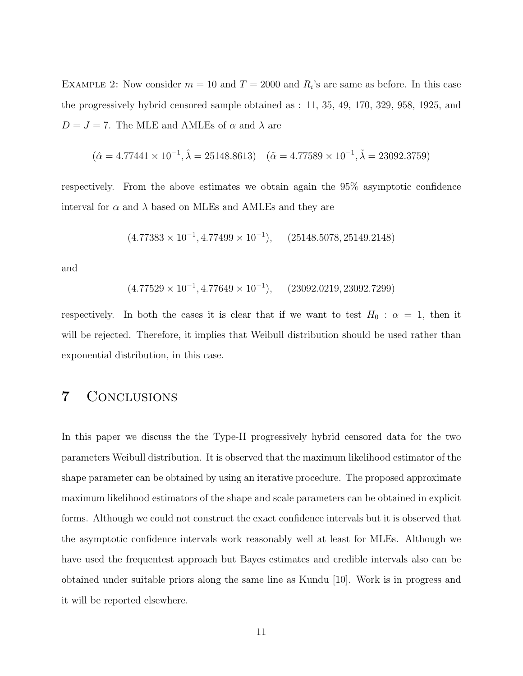EXAMPLE 2: Now consider  $m = 10$  and  $T = 2000$  and  $R_i$ 's are same as before. In this case the progressively hybrid censored sample obtained as : 11, 35, 49, 170, 329, 958, 1925, and  $D = J = 7$ . The MLE and AMLEs of  $\alpha$  and  $\lambda$  are

$$
(\hat{\alpha} = 4.77441 \times 10^{-1}, \hat{\lambda} = 25148.8613) \quad (\tilde{\alpha} = 4.77589 \times 10^{-1}, \tilde{\lambda} = 23092.3759)
$$

respectively. From the above estimates we obtain again the 95% asymptotic confidence interval for  $\alpha$  and  $\lambda$  based on MLEs and AMLEs and they are

$$
(4.77383 \times 10^{-1}, 4.77499 \times 10^{-1}), \quad (25148.5078, 25149.2148)
$$

and

$$
(4.77529 \times 10^{-1}, 4.77649 \times 10^{-1}), \quad (23092.0219, 23092.7299)
$$

respectively. In both the cases it is clear that if we want to test  $H_0$ :  $\alpha = 1$ , then it will be rejected. Therefore, it implies that Weibull distribution should be used rather than exponential distribution, in this case.

#### 7 Conclusions

In this paper we discuss the the Type-II progressively hybrid censored data for the two parameters Weibull distribution. It is observed that the maximum likelihood estimator of the shape parameter can be obtained by using an iterative procedure. The proposed approximate maximum likelihood estimators of the shape and scale parameters can be obtained in explicit forms. Although we could not construct the exact confidence intervals but it is observed that the asymptotic confidence intervals work reasonably well at least for MLEs. Although we have used the frequentest approach but Bayes estimates and credible intervals also can be obtained under suitable priors along the same line as Kundu [10]. Work is in progress and it will be reported elsewhere.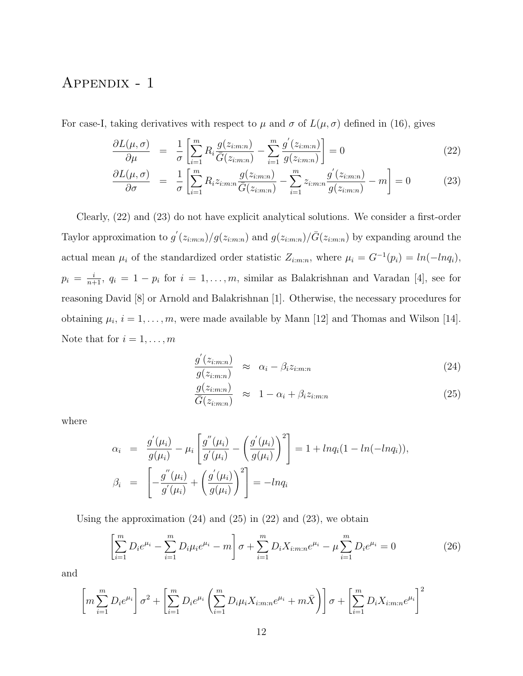# Appendix - 1

For case-I, taking derivatives with respect to  $\mu$  and  $\sigma$  of  $L(\mu, \sigma)$  defined in (16), gives

$$
\frac{\partial L(\mu, \sigma)}{\partial \mu} = \frac{1}{\sigma} \left[ \sum_{i=1}^{m} R_i \frac{g(z_{i:m:n})}{\overline{G}(z_{i:m:n})} - \sum_{i=1}^{m} \frac{g'(z_{i:m:n})}{g(z_{i:m:n})} \right] = 0 \tag{22}
$$

$$
\frac{\partial L(\mu, \sigma)}{\partial \sigma} = \frac{1}{\sigma} \left[ \sum_{i=1}^{m} R_i z_{i:m:n} \frac{g(z_{i:m:n})}{\bar{G}(z_{i:m:n})} - \sum_{i=1}^{m} z_{i:m:n} \frac{g'(z_{i:m:n})}{g(z_{i:m:n})} - m \right] = 0 \quad (23)
$$

Clearly, (22) and (23) do not have explicit analytical solutions. We consider a first-order Taylor approximation to  $g'(z_{i:m:n})/g(z_{i:m:n})$  and  $g(z_{i:m:n})/\bar{G}(z_{i:m:n})$  by expanding around the actual mean  $\mu_i$  of the standardized order statistic  $Z_{i:m:n}$ , where  $\mu_i = G^{-1}(p_i) = ln(-lnq_i)$ ,  $p_i = \frac{i}{n+1}$ ,  $q_i = 1 - p_i$  for  $i = 1, \ldots, m$ , similar as Balakrishnan and Varadan [4], see for reasoning David [8] or Arnold and Balakrishnan [1]. Otherwise, the necessary procedures for obtaining  $\mu_i$ ,  $i = 1, \ldots, m$ , were made available by Mann [12] and Thomas and Wilson [14]. Note that for  $i = 1, \ldots, m$ 

$$
\frac{g'(z_{i:m:n})}{g(z_{i:m:n})} \approx \alpha_i - \beta_i z_{i:m:n}
$$
\n(24)

$$
\frac{g(z_{i:m:n})}{\bar{G}(z_{i:m:n})} \approx 1 - \alpha_i + \beta_i z_{i:m:n}
$$
\n(25)

where

$$
\alpha_i = \frac{g'(\mu_i)}{g(\mu_i)} - \mu_i \left[ \frac{g''(\mu_i)}{g'(\mu_i)} - \left( \frac{g'(\mu_i)}{g(\mu_i)} \right)^2 \right] = 1 + ln q_i (1 - ln(-ln q_i)),
$$
  

$$
\beta_i = \left[ -\frac{g''(\mu_i)}{g'(\mu_i)} + \left( \frac{g'(\mu_i)}{g(\mu_i)} \right)^2 \right] = -ln q_i
$$

Using the approximation  $(24)$  and  $(25)$  in  $(22)$  and  $(23)$ , we obtain

$$
\left[\sum_{i=1}^{m} D_{i}e^{\mu_{i}} - \sum_{i=1}^{m} D_{i}\mu_{i}e^{\mu_{i}} - m\right]\sigma + \sum_{i=1}^{m} D_{i}X_{i:m:n}e^{\mu_{i}} - \mu \sum_{i=1}^{m} D_{i}e^{\mu_{i}} = 0
$$
\n(26)

and

$$
\left[ m \sum_{i=1}^{m} D_i e^{\mu_i} \right] \sigma^2 + \left[ \sum_{i=1}^{m} D_i e^{\mu_i} \left( \sum_{i=1}^{m} D_i \mu_i X_{i:m:n} e^{\mu_i} + m \bar{X} \right) \right] \sigma + \left[ \sum_{i=1}^{m} D_i X_{i:m:n} e^{\mu_i} \right]^2
$$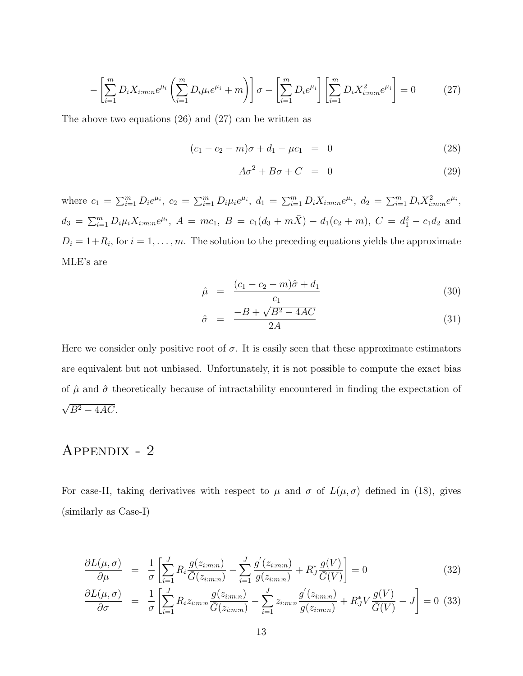$$
-\left[\sum_{i=1}^{m} D_{i} X_{i:m:n} e^{\mu_{i}} \left(\sum_{i=1}^{m} D_{i} \mu_{i} e^{\mu_{i}} + m\right)\right] \sigma - \left[\sum_{i=1}^{m} D_{i} e^{\mu_{i}}\right] \left[\sum_{i=1}^{m} D_{i} X_{i:m:n}^{2} e^{\mu_{i}}\right] = 0 \tag{27}
$$

The above two equations (26) and (27) can be written as

$$
(c_1 - c_2 - m)\sigma + d_1 - \mu c_1 = 0 \tag{28}
$$

$$
A\sigma^2 + B\sigma + C = 0 \tag{29}
$$

where  $c_1 = \sum_{i=1}^m D_i e^{\mu_i}$ ,  $c_2 = \sum_{i=1}^m D_i \mu_i e^{\mu_i}$ ,  $d_1 = \sum_{i=1}^m D_i X_{i:m:n} e^{\mu_i}$ ,  $d_2 = \sum_{i=1}^m D_i X_{i:m:n}^2 e^{\mu_i}$ ,  $d_3 = \sum_{i=1}^m D_i \mu_i X_{i:m:n} e^{\mu_i}, A = mc_1, B = c_1(d_3 + m\overline{X}) - d_1(c_2 + m), C = d_1^2 - c_1d_2$  and  $D_i = 1 + R_i$ , for  $i = 1, \ldots, m$ . The solution to the preceding equations yields the approximate MLE's are

$$
\hat{\mu} = \frac{(c_1 - c_2 - m)\hat{\sigma} + d_1}{c_1} \tag{30}
$$

$$
\hat{\sigma} = \frac{-B + \sqrt{B^2 - 4AC}}{2A} \tag{31}
$$

Here we consider only positive root of  $\sigma$ . It is easily seen that these approximate estimators are equivalent but not unbiased. Unfortunately, it is not possible to compute the exact bias of  $\hat{\mu}$  and  $\hat{\sigma}$  theoretically because of intractability encountered in finding the expectation of √  $B^2 - 4AC$ .

# Appendix - 2

For case-II, taking derivatives with respect to  $\mu$  and  $\sigma$  of  $L(\mu, \sigma)$  defined in (18), gives (similarly as Case-I)

$$
\frac{\partial L(\mu,\sigma)}{\partial \mu} = \frac{1}{\sigma} \left[ \sum_{i=1}^{J} R_i \frac{g(z_{i:m:n})}{\overline{G}(z_{i:m:n})} - \sum_{i=1}^{J} \frac{g'(z_{i:m:n})}{g(z_{i:m:n})} + R_J^* \frac{g(V)}{\overline{G}(V)} \right] = 0 \tag{32}
$$

$$
\frac{\partial L(\mu, \sigma)}{\partial \sigma} = \frac{1}{\sigma} \left[ \sum_{i=1}^{J} R_i z_{i:m:n} \frac{g(z_{i:m:n})}{\bar{G}(z_{i:m:n})} - \sum_{i=1}^{J} z_{i:m:n} \frac{g'(z_{i:m:n})}{g(z_{i:m:n})} + R_J^* V \frac{g(V)}{\bar{G}(V)} - J \right] = 0 \tag{33}
$$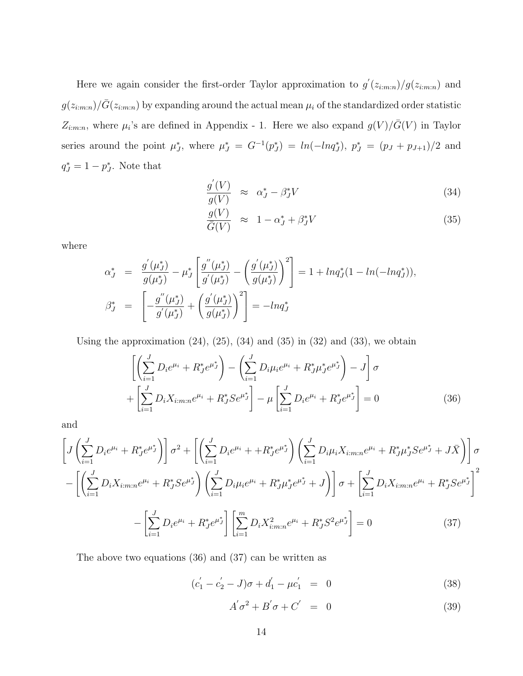Here we again consider the first-order Taylor approximation to  $g'(z_{i:m:n})/g(z_{i:m:n})$  and  $g(z_{i:m:n})/\bar{G}(z_{i:m:n})$  by expanding around the actual mean  $\mu_i$  of the standardized order statistic  $Z_{i:m:n}$ , where  $\mu_i$ 's are defined in Appendix - 1. Here we also expand  $g(V)/\bar{G}(V)$  in Taylor series around the point  $\mu^*_{J}$ , where  $\mu^*_{J} = G^{-1}(p^*_{J}) = ln(-lnq^*_{J}), p^*_{J} = (p_{J} + p_{J+1})/2$  and  $q_J^* = 1 - p_J^*$ . Note that

$$
\frac{g'(V)}{g(V)} \approx \alpha_J^* - \beta_J^* V \tag{34}
$$

$$
\frac{g(V)}{\bar{G}(V)} \approx 1 - \alpha_J^* + \beta_J^* V \tag{35}
$$

where

$$
\alpha_{J}^{*} = \frac{g'(\mu_{J}^{*})}{g(\mu_{J}^{*})} - \mu_{J}^{*} \left[ \frac{g''(\mu_{J}^{*})}{g'(\mu_{J}^{*})} - \left( \frac{g'(\mu_{J}^{*})}{g(\mu_{J}^{*})} \right)^{2} \right] = 1 + lnq_{J}^{*}(1 - ln(-lnq_{J}^{*})),
$$
  

$$
\beta_{J}^{*} = \left[ -\frac{g''(\mu_{J}^{*})}{g'(\mu_{J}^{*})} + \left( \frac{g'(\mu_{J}^{*})}{g(\mu_{J}^{*})} \right)^{2} \right] = -lnq_{J}^{*}
$$

Using the approximation  $(24)$ ,  $(25)$ ,  $(34)$  and  $(35)$  in  $(32)$  and  $(33)$ , we obtain

$$
\left[ \left( \sum_{i=1}^{J} D_i e^{\mu_i} + R_J^* e^{\mu_J^*} \right) - \left( \sum_{i=1}^{J} D_i \mu_i e^{\mu_i} + R_J^* \mu_J^* e^{\mu_J^*} \right) - J \right] \sigma + \left[ \sum_{i=1}^{J} D_i X_{i:m:n} e^{\mu_i} + R_J^* S e^{\mu_J^*} \right] - \mu \left[ \sum_{i=1}^{J} D_i e^{\mu_i} + R_J^* e^{\mu_J^*} \right] = 0
$$
 (36)

and

$$
\left[J\left(\sum_{i=1}^{J} D_{i}e^{\mu_{i}} + R_{J}^{*}e^{\mu_{J}^{*}}\right)\right]\sigma^{2} + \left[\left(\sum_{i=1}^{J} D_{i}e^{\mu_{i}} + R_{J}^{*}e^{\mu_{J}^{*}}\right)\left(\sum_{i=1}^{J} D_{i}\mu_{i}X_{i:m:n}e^{\mu_{i}} + R_{J}^{*}\mu_{J}^{*}Se^{\mu_{J}^{*}} + J\bar{X}\right)\right]\sigma
$$
\n
$$
-\left[\left(\sum_{i=1}^{J} D_{i}X_{i:m:n}e^{\mu_{i}} + R_{J}^{*}Se^{\mu_{J}^{*}}\right)\left(\sum_{i=1}^{J} D_{i}\mu_{i}e^{\mu_{i}} + R_{J}^{*}\mu_{J}^{*}e^{\mu_{J}^{*}} + J\right)\right]\sigma + \left[\sum_{i=1}^{J} D_{i}X_{i:m:n}e^{\mu_{i}} + R_{J}^{*}Se^{\mu_{J}^{*}}\right]^{2}
$$
\n
$$
-\left[\sum_{i=1}^{J} D_{i}e^{\mu_{i}} + R_{J}^{*}e^{\mu_{J}^{*}}\right]\left[\sum_{i=1}^{m} D_{i}X_{i:m:n}^{2}e^{\mu_{i}} + R_{J}^{*}S^{2}e^{\mu_{J}^{*}}\right] = 0
$$
\n(37)

The above two equations (36) and (37) can be written as

$$
(c_1' - c_2' - J)\sigma + d_1' - \mu c_1' = 0 \tag{38}
$$

$$
A'\sigma^2 + B'\sigma + C' = 0 \tag{39}
$$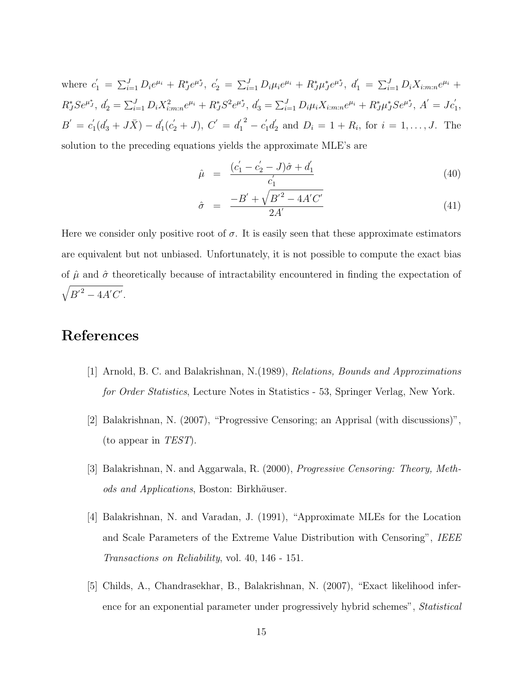where  $c'_1 = \sum_{i=1}^J D_i e^{\mu_i} + R_J^* e^{\mu_J^*}, c'_2 = \sum_{i=1}^J D_i \mu_i e^{\mu_i} + R_J^* \mu_J^* e^{\mu_J^*}, d'_1 = \sum_{i=1}^J D_i X_{i:m:n} e^{\mu_i} +$  $R_J^* S e^{\mu_J^*}, d_2' = \sum_{i=1}^J D_i X_{i:m:n}^2 e^{\mu_i} + R_J^* S^2 e^{\mu_J^*}, d_3' = \sum_{i=1}^J D_i \mu_i X_{i:m:n} e^{\mu_i} + R_J^* \mu_J^* S e^{\mu_J^*}, A' = J c_1',$  $B' = c_1'$  $d^{'}_1(d^{'}_3+J\bar{X})-d^{'}_1$  $C_1'(c_2'+J), C' = d_1'$ 1  $^{2} - c_{1}^{'} d_{2}^{'}$  $D_i = 1 + R_i$ , for  $i = 1, ..., J$ . The solution to the preceding equations yields the approximate MLE's are

$$
\hat{\mu} = \frac{(c_1' - c_2' - J)\hat{\sigma} + d_1'}{c_1'} \tag{40}
$$

$$
\hat{\sigma} = \frac{-B' + \sqrt{B'^2 - 4A'C'}}{2A'} \tag{41}
$$

Here we consider only positive root of  $\sigma$ . It is easily seen that these approximate estimators are equivalent but not unbiased. Unfortunately, it is not possible to compute the exact bias of  $\hat{\mu}$  and  $\hat{\sigma}$  theoretically because of intractability encountered in finding the expectation of  $\sqrt{{B'}^2 - 4A'C'}}$ .

# References

- [1] Arnold, B. C. and Balakrishnan, N.(1989), Relations, Bounds and Approximations for Order Statistics, Lecture Notes in Statistics - 53, Springer Verlag, New York.
- [2] Balakrishnan, N. (2007), "Progressive Censoring; an Apprisal (with discussions)", (to appear in TEST).
- [3] Balakrishnan, N. and Aggarwala, R. (2000), Progressive Censoring: Theory, Methods and Applications, Boston: Birkhäuser.
- [4] Balakrishnan, N. and Varadan, J. (1991), "Approximate MLEs for the Location and Scale Parameters of the Extreme Value Distribution with Censoring", IEEE Transactions on Reliability, vol. 40, 146 - 151.
- [5] Childs, A., Chandrasekhar, B., Balakrishnan, N. (2007), "Exact likelihood inference for an exponential parameter under progressively hybrid schemes", Statistical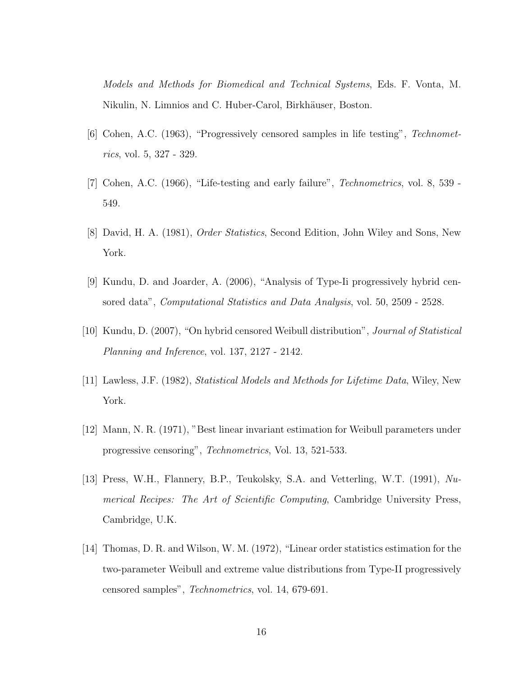Models and Methods for Biomedical and Technical Systems, Eds. F. Vonta, M. Nikulin, N. Limnios and C. Huber-Carol, Birkhäuser, Boston.

- [6] Cohen, A.C. (1963), "Progressively censored samples in life testing", Technometrics, vol. 5, 327 - 329.
- [7] Cohen, A.C. (1966), "Life-testing and early failure", Technometrics, vol. 8, 539 549.
- [8] David, H. A. (1981), Order Statistics, Second Edition, John Wiley and Sons, New York.
- [9] Kundu, D. and Joarder, A. (2006), "Analysis of Type-Ii progressively hybrid censored data", Computational Statistics and Data Analysis, vol. 50, 2509 - 2528.
- [10] Kundu, D. (2007), "On hybrid censored Weibull distribution", Journal of Statistical Planning and Inference, vol. 137, 2127 - 2142.
- [11] Lawless, J.F. (1982), Statistical Models and Methods for Lifetime Data, Wiley, New York.
- [12] Mann, N. R. (1971), "Best linear invariant estimation for Weibull parameters under progressive censoring", Technometrics, Vol. 13, 521-533.
- [13] Press, W.H., Flannery, B.P., Teukolsky, S.A. and Vetterling, W.T. (1991), Numerical Recipes: The Art of Scientific Computing, Cambridge University Press, Cambridge, U.K.
- [14] Thomas, D. R. and Wilson, W. M. (1972), "Linear order statistics estimation for the two-parameter Weibull and extreme value distributions from Type-II progressively censored samples", Technometrics, vol. 14, 679-691.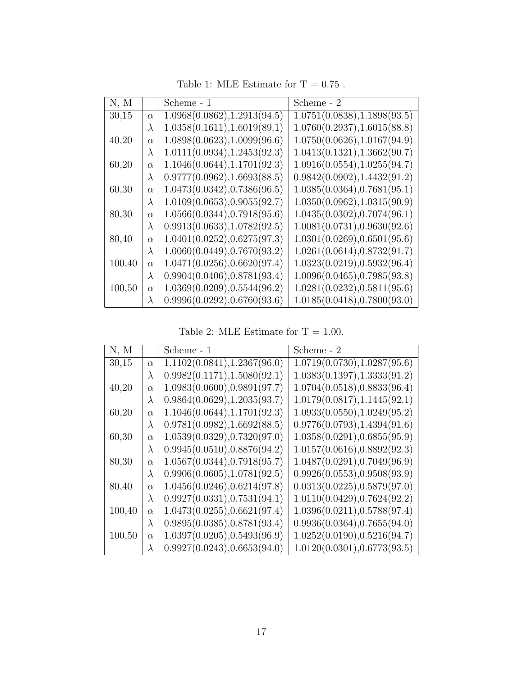| N, M   |           | Scheme - 1                   | Scheme - 2                   |
|--------|-----------|------------------------------|------------------------------|
| 30,15  | $\alpha$  | 1.0968(0.0862), 1.2913(94.5) | 1.0751(0.0838), 1.1898(93.5) |
|        | $\lambda$ | 1.0358(0.1611), 1.6019(89.1) | 1.0760(0.2937), 1.6015(88.8) |
| 40,20  | $\alpha$  | 1.0898(0.0623), 1.0099(96.6) | 1.0750(0.0626), 1.0167(94.9) |
|        | $\lambda$ | 1.0111(0.0934), 1.2453(92.3) | 1.0413(0.1321), 1.3662(90.7) |
| 60,20  | $\alpha$  | 1.1046(0.0644), 1.1701(92.3) | 1.0916(0.0554), 1.0255(94.7) |
|        | $\lambda$ | 0.9777(0.0962), 1.6693(88.5) | 0.9842(0.0902), 1.4432(91.2) |
| 60,30  | $\alpha$  | 1.0473(0.0342), 0.7386(96.5) | 1.0385(0.0364), 0.7681(95.1) |
|        | $\lambda$ | 1.0109(0.0653), 0.9055(92.7) | 1.0350(0.0962), 1.0315(90.9) |
| 80,30  | $\alpha$  | 1.0566(0.0344), 0.7918(95.6) | 1.0435(0.0302), 0.7074(96.1) |
|        | $\lambda$ | 0.9913(0.0633), 1.0782(92.5) | 1.0081(0.0731), 0.9630(92.6) |
| 80,40  | $\alpha$  | 1.0401(0.0252), 0.6275(97.3) | 1.0301(0.0269), 0.6501(95.6) |
|        | $\lambda$ | 1.0060(0.0449), 0.7670(93.2) | 1.0261(0.0614), 0.8732(91.7) |
| 100,40 | $\alpha$  | 1.0471(0.0256), 0.6620(97.4) | 1.0323(0.0219), 0.5932(96.4) |
|        | $\lambda$ | 0.9904(0.0406), 0.8781(93.4) | 1.0096(0.0465), 0.7985(93.8) |
| 100,50 | $\alpha$  | 1.0369(0.0209), 0.5544(96.2) | 1.0281(0.0232), 0.5811(95.6) |
|        | $\lambda$ | 0.9996(0.0292), 0.6760(93.6) | 1.0185(0.0418), 0.7800(93.0) |

Table 1: MLE Estimate for  $\rm T=0.75$  .

Table 2: MLE Estimate for T = 1.00.

| N, M   |           | Scheme - 1                   | Scheme - 2                   |
|--------|-----------|------------------------------|------------------------------|
| 30,15  | $\alpha$  | 1.1102(0.0841), 1.2367(96.0) | 1.0719(0.0730), 1.0287(95.6) |
|        | $\lambda$ | 0.9982(0.1171), 1.5080(92.1) | 1.0383(0.1397), 1.3333(91.2) |
| 40,20  | $\alpha$  | 1.0983(0.0600), 0.9891(97.7) | 1.0704(0.0518), 0.8833(96.4) |
|        | $\lambda$ | 0.9864(0.0629), 1.2035(93.7) | 1.0179(0.0817), 1.1445(92.1) |
| 60,20  | $\alpha$  | 1.1046(0.0644), 1.1701(92.3) | 1.0933(0.0550), 1.0249(95.2) |
|        | $\lambda$ | 0.9781(0.0982), 1.6692(88.5) | 0.9776(0.0793), 1.4394(91.6) |
| 60,30  | $\alpha$  | 1.0539(0.0329), 0.7320(97.0) | 1.0358(0.0291), 0.6855(95.9) |
|        | $\lambda$ | 0.9945(0.0510), 0.8876(94.2) | 1.0157(0.0616), 0.8892(92.3) |
| 80,30  | $\alpha$  | 1.0567(0.0344), 0.7918(95.7) | 1.0487(0.0291), 0.7049(96.9) |
|        | $\lambda$ | 0.9906(0.0605), 1.0781(92.5) | 0.9926(0.0553), 0.9508(93.9) |
| 80,40  | $\alpha$  | 1.0456(0.0246), 0.6214(97.8) | 0.0313(0.0225), 0.5879(97.0) |
|        | $\lambda$ | 0.9927(0.0331), 0.7531(94.1) | 1.0110(0.0429), 0.7624(92.2) |
| 100,40 | $\alpha$  | 1.0473(0.0255), 0.6621(97.4) | 1.0396(0.0211), 0.5788(97.4) |
|        | $\lambda$ | 0.9895(0.0385), 0.8781(93.4) | 0.9936(0.0364), 0.7655(94.0) |
| 100,50 | $\alpha$  | 1.0397(0.0205), 0.5493(96.9) | 1.0252(0.0190), 0.5216(94.7) |
|        | $\lambda$ | 0.9927(0.0243), 0.6653(94.0) | 1.0120(0.0301), 0.6773(93.5) |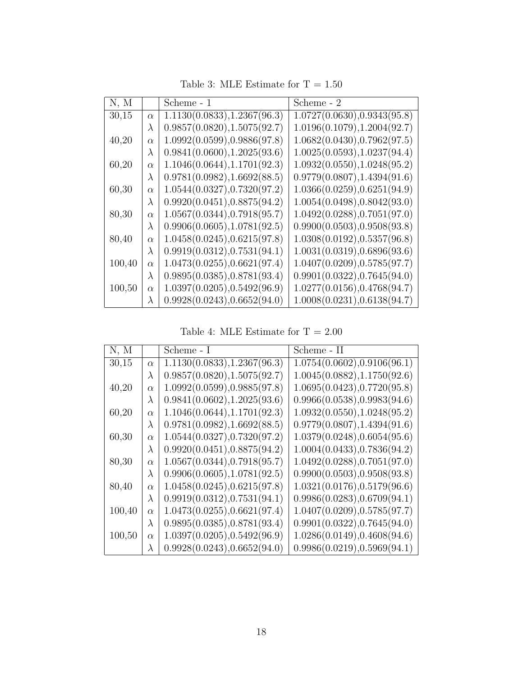| N, M   |           | Scheme - 1                   | Scheme - 2                   |
|--------|-----------|------------------------------|------------------------------|
| 30,15  | $\alpha$  | 1.1130(0.0833), 1.2367(96.3) | 1.0727(0.0630), 0.9343(95.8) |
|        | $\lambda$ | 0.9857(0.0820), 1.5075(92.7) | 1.0196(0.1079), 1.2004(92.7) |
| 40,20  | $\alpha$  | 1.0992(0.0599), 0.9886(97.8) | 1.0682(0.0430), 0.7962(97.5) |
|        | $\lambda$ | 0.9841(0.0600), 1.2025(93.6) | 1.0025(0.0593), 1.0237(94.4) |
| 60,20  | $\alpha$  | 1.1046(0.0644), 1.1701(92.3) | 1.0932(0.0550), 1.0248(95.2) |
|        | $\lambda$ | 0.9781(0.0982), 1.6692(88.5) | 0.9779(0.0807), 1.4394(91.6) |
| 60,30  | $\alpha$  | 1.0544(0.0327), 0.7320(97.2) | 1.0366(0.0259), 0.6251(94.9) |
|        | $\lambda$ | 0.9920(0.0451), 0.8875(94.2) | 1.0054(0.0498), 0.8042(93.0) |
| 80,30  | $\alpha$  | 1.0567(0.0344), 0.7918(95.7) | 1.0492(0.0288), 0.7051(97.0) |
|        | $\lambda$ | 0.9906(0.0605), 1.0781(92.5) | 0.9900(0.0503), 0.9508(93.8) |
| 80,40  | $\alpha$  | 1.0458(0.0245), 0.6215(97.8) | 1.0308(0.0192), 0.5357(96.8) |
|        | $\lambda$ | 0.9919(0.0312), 0.7531(94.1) | 1.0031(0.0319), 0.6896(93.6) |
| 100,40 | $\alpha$  | 1.0473(0.0255), 0.6621(97.4) | 1.0407(0.0209), 0.5785(97.7) |
|        | $\lambda$ | 0.9895(0.0385), 0.8781(93.4) | 0.9901(0.0322), 0.7645(94.0) |
| 100,50 | $\alpha$  | 1.0397(0.0205), 0.5492(96.9) | 1.0277(0.0156), 0.4768(94.7) |
|        | $\lambda$ | 0.9928(0.0243), 0.6652(94.0) | 1.0008(0.0231), 0.6138(94.7) |

Table 3: MLE Estimate for  $\mathrm{T}=1.50$ 

Table 4: MLE Estimate for  $\rm T=2.00$ 

| N, M   |           | Scheme - I                   | Scheme - II                  |
|--------|-----------|------------------------------|------------------------------|
| 30,15  | $\alpha$  | 1.1130(0.0833), 1.2367(96.3) | 1.0754(0.0602), 0.9106(96.1) |
|        | $\lambda$ | 0.9857(0.0820), 1.5075(92.7) | 1.0045(0.0882), 1.1750(92.6) |
| 40,20  | $\alpha$  | 1.0992(0.0599), 0.9885(97.8) | 1.0695(0.0423), 0.7720(95.8) |
|        | $\lambda$ | 0.9841(0.0602), 1.2025(93.6) | 0.9966(0.0538), 0.9983(94.6) |
| 60,20  | $\alpha$  | 1.1046(0.0644), 1.1701(92.3) | 1.0932(0.0550), 1.0248(95.2) |
|        | $\lambda$ | 0.9781(0.0982), 1.6692(88.5) | 0.9779(0.0807), 1.4394(91.6) |
| 60,30  | $\alpha$  | 1.0544(0.0327), 0.7320(97.2) | 1.0379(0.0248), 0.6054(95.6) |
|        | $\lambda$ | 0.9920(0.0451), 0.8875(94.2) | 1.0004(0.0433), 0.7836(94.2) |
| 80,30  | $\alpha$  | 1.0567(0.0344), 0.7918(95.7) | 1.0492(0.0288), 0.7051(97.0) |
|        | $\lambda$ | 0.9906(0.0605), 1.0781(92.5) | 0.9900(0.0503), 0.9508(93.8) |
| 80,40  | $\alpha$  | 1.0458(0.0245), 0.6215(97.8) | 1.0321(0.0176), 0.5179(96.6) |
|        | $\lambda$ | 0.9919(0.0312), 0.7531(94.1) | 0.9986(0.0283), 0.6709(94.1) |
| 100,40 | $\alpha$  | 1.0473(0.0255), 0.6621(97.4) | 1.0407(0.0209), 0.5785(97.7) |
|        | $\lambda$ | 0.9895(0.0385), 0.8781(93.4) | 0.9901(0.0322), 0.7645(94.0) |
| 100,50 | $\alpha$  | 1.0397(0.0205), 0.5492(96.9) | 1.0286(0.0149), 0.4608(94.6) |
|        | $\lambda$ | 0.9928(0.0243), 0.6652(94.0) | 0.9986(0.0219), 0.5969(94.1) |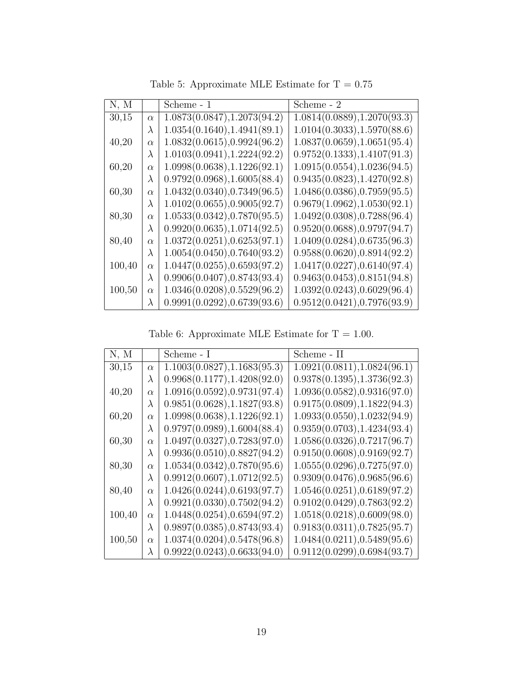| N, M   |           | Scheme - 1                   | Scheme - 2                   |
|--------|-----------|------------------------------|------------------------------|
| 30,15  | $\alpha$  | 1.0873(0.0847), 1.2073(94.2) | 1.0814(0.0889), 1.2070(93.3) |
|        | $\lambda$ | 1.0354(0.1640), 1.4941(89.1) | 1.0104(0.3033), 1.5970(88.6) |
| 40,20  | $\alpha$  | 1.0832(0.0615), 0.9924(96.2) | 1.0837(0.0659), 1.0651(95.4) |
|        | $\lambda$ | 1.0103(0.0941), 1.2224(92.2) | 0.9752(0.1333), 1.4107(91.3) |
| 60,20  | $\alpha$  | 1.0998(0.0638), 1.1226(92.1) | 1.0915(0.0554), 1.0236(94.5) |
|        | $\lambda$ | 0.9792(0.0968), 1.6005(88.4) | 0.9435(0.0823), 1.4270(92.8) |
| 60,30  | $\alpha$  | 1.0432(0.0340), 0.7349(96.5) | 1.0486(0.0386), 0.7959(95.5) |
|        | $\lambda$ | 1.0102(0.0655), 0.9005(92.7) | 0.9679(1.0962), 1.0530(92.1) |
| 80,30  | $\alpha$  | 1.0533(0.0342), 0.7870(95.5) | 1.0492(0.0308), 0.7288(96.4) |
|        | $\lambda$ | 0.9920(0.0635), 1.0714(92.5) | 0.9520(0.0688), 0.9797(94.7) |
| 80,40  | $\alpha$  | 1.0372(0.0251), 0.6253(97.1) | 1.0409(0.0284), 0.6735(96.3) |
|        | $\lambda$ | 1.0054(0.0450), 0.7640(93.2) | 0.9588(0.0620), 0.8914(92.2) |
| 100,40 | $\alpha$  | 1.0447(0.0255), 0.6593(97.2) | 1.0417(0.0227), 0.6140(97.4) |
|        | $\lambda$ | 0.9906(0.0407), 0.8743(93.4) | 0.9463(0.0453), 0.8151(94.8) |
| 100,50 | $\alpha$  | 1.0346(0.0208), 0.5529(96.2) | 1.0392(0.0243), 0.6029(96.4) |
|        | $\lambda$ | 0.9991(0.0292), 0.6739(93.6) | 0.9512(0.0421), 0.7976(93.9) |

Table 5: Approximate MLE Estimate for  $\rm T=0.75$ 

Table 6: Approximate MLE Estimate for T = 1.00.

| N, M   |           | Scheme - I                   | Scheme - II                  |
|--------|-----------|------------------------------|------------------------------|
| 30,15  | $\alpha$  | 1.1003(0.0827), 1.1683(95.3) | 1.0921(0.0811), 1.0824(96.1) |
|        | $\lambda$ | 0.9968(0.1177), 1.4208(92.0) | 0.9378(0.1395), 1.3736(92.3) |
| 40,20  | $\alpha$  | 1.0916(0.0592), 0.9731(97.4) | 1.0936(0.0582), 0.9316(97.0) |
|        | $\lambda$ | 0.9851(0.0628), 1.1827(93.8) | 0.9175(0.0809), 1.1822(94.3) |
| 60,20  | $\alpha$  | 1.0998(0.0638), 1.1226(92.1) | 1.0933(0.0550), 1.0232(94.9) |
|        | $\lambda$ | 0.9797(0.0989), 1.6004(88.4) | 0.9359(0.0703), 1.4234(93.4) |
| 60,30  | $\alpha$  | 1.0497(0.0327), 0.7283(97.0) | 1.0586(0.0326), 0.7217(96.7) |
|        | $\lambda$ | 0.9936(0.0510), 0.8827(94.2) | 0.9150(0.0608), 0.9169(92.7) |
| 80,30  | $\alpha$  | 1.0534(0.0342), 0.7870(95.6) | 1.0555(0.0296), 0.7275(97.0) |
|        | $\lambda$ | 0.9912(0.0607), 1.0712(92.5) | 0.9309(0.0476), 0.9685(96.6) |
| 80,40  | $\alpha$  | 1.0426(0.0244), 0.6193(97.7) | 1.0546(0.0251), 0.6189(97.2) |
|        | $\lambda$ | 0.9921(0.0330), 0.7502(94.2) | 0.9102(0.0429), 0.7863(92.2) |
| 100,40 | $\alpha$  | 1.0448(0.0254), 0.6594(97.2) | 1.0518(0.0218), 0.6009(98.0) |
|        | $\lambda$ | 0.9897(0.0385), 0.8743(93.4) | 0.9183(0.0311), 0.7825(95.7) |
| 100,50 | $\alpha$  | 1.0374(0.0204), 0.5478(96.8) | 1.0484(0.0211), 0.5489(95.6) |
|        | $\lambda$ | 0.9922(0.0243), 0.6633(94.0) | 0.9112(0.0299), 0.6984(93.7) |